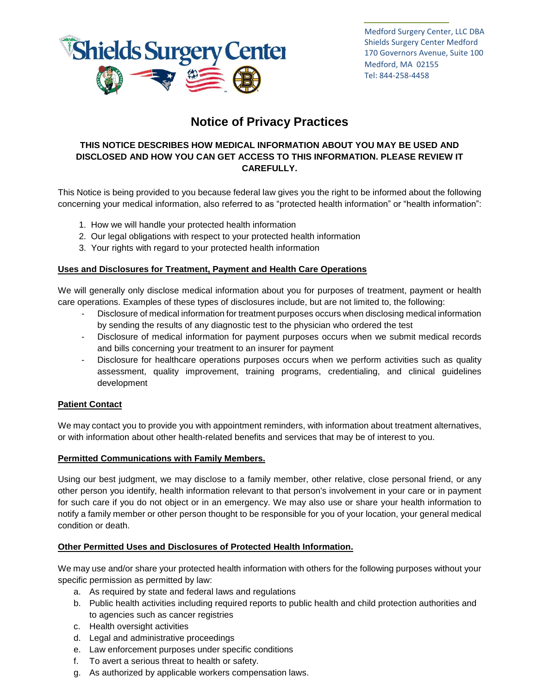

Medford Surgery Center, LLC DBA Shields Surgery Center Medford 170 Governors Avenue, Suite 100 Medford, MA 02155 Tel: 844-258-4458

# **Notice of Privacy Practices**

# **THIS NOTICE DESCRIBES HOW MEDICAL INFORMATION ABOUT YOU MAY BE USED AND DISCLOSED AND HOW YOU CAN GET ACCESS TO THIS INFORMATION. PLEASE REVIEW IT CAREFULLY.**

This Notice is being provided to you because federal law gives you the right to be informed about the following concerning your medical information, also referred to as "protected health information" or "health information":

- 1. How we will handle your protected health information
- 2. Our legal obligations with respect to your protected health information
- 3. Your rights with regard to your protected health information

## **Uses and Disclosures for Treatment, Payment and Health Care Operations**

We will generally only disclose medical information about you for purposes of treatment, payment or health care operations. Examples of these types of disclosures include, but are not limited to, the following:

- Disclosure of medical information for treatment purposes occurs when disclosing medical information by sending the results of any diagnostic test to the physician who ordered the test
- Disclosure of medical information for payment purposes occurs when we submit medical records and bills concerning your treatment to an insurer for payment
- Disclosure for healthcare operations purposes occurs when we perform activities such as quality assessment, quality improvement, training programs, credentialing, and clinical guidelines development

# **Patient Contact**

We may contact you to provide you with appointment reminders, with information about treatment alternatives, or with information about other health-related benefits and services that may be of interest to you.

## **Permitted Communications with Family Members.**

Using our best judgment, we may disclose to a family member, other relative, close personal friend, or any other person you identify, health information relevant to that person's involvement in your care or in payment for such care if you do not object or in an emergency. We may also use or share your health information to notify a family member or other person thought to be responsible for you of your location, your general medical condition or death.

## **Other Permitted Uses and Disclosures of Protected Health Information.**

We may use and/or share your protected health information with others for the following purposes without your specific permission as permitted by law:

- a. As required by state and federal laws and regulations
- b. Public health activities including required reports to public health and child protection authorities and to agencies such as cancer registries
- c. Health oversight activities
- d. Legal and administrative proceedings
- e. Law enforcement purposes under specific conditions
- f. To avert a serious threat to health or safety.
- g. As authorized by applicable workers compensation laws.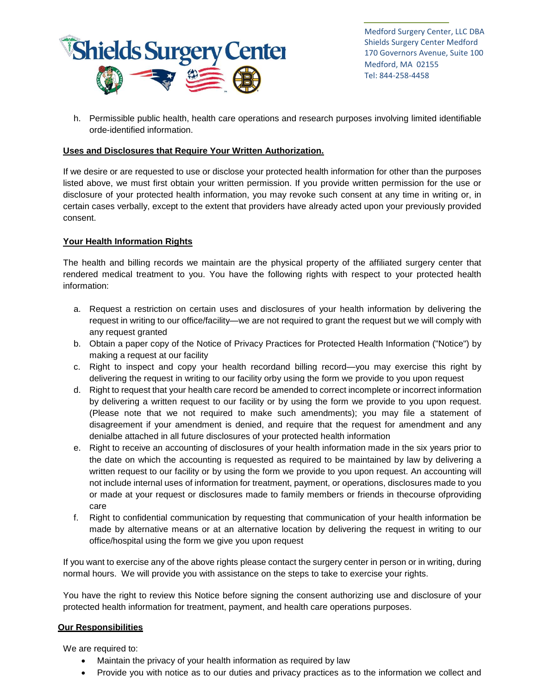

Medford Surgery Center, LLC DBA Shields Surgery Center Medford 170 Governors Avenue, Suite 100 Medford, MA 02155 Tel: 844-258-4458

h. Permissible public health, health care operations and research purposes involving limited identifiable orde-identified information.

#### **Uses and Disclosures that Require Your Written Authorization.**

If we desire or are requested to use or disclose your protected health information for other than the purposes listed above, we must first obtain your written permission. If you provide written permission for the use or disclosure of your protected health information, you may revoke such consent at any time in writing or, in certain cases verbally, except to the extent that providers have already acted upon your previously provided consent.

## **Your Health Information Rights**

The health and billing records we maintain are the physical property of the affiliated surgery center that rendered medical treatment to you. You have the following rights with respect to your protected health information:

- a. Request a restriction on certain uses and disclosures of your health information by delivering the request in writing to our office/facility—we are not required to grant the request but we will comply with any request granted
- b. Obtain a paper copy of the Notice of Privacy Practices for Protected Health Information ("Notice") by making a request at our facility
- c. Right to inspect and copy your health recordand billing record—you may exercise this right by delivering the request in writing to our facility orby using the form we provide to you upon request
- d. Right to request that your health care record be amended to correct incomplete or incorrect information by delivering a written request to our facility or by using the form we provide to you upon request. (Please note that we not required to make such amendments); you may file a statement of disagreement if your amendment is denied, and require that the request for amendment and any denialbe attached in all future disclosures of your protected health information
- e. Right to receive an accounting of disclosures of your health information made in the six years prior to the date on which the accounting is requested as required to be maintained by law by delivering a written request to our facility or by using the form we provide to you upon request. An accounting will not include internal uses of information for treatment, payment, or operations, disclosures made to you or made at your request or disclosures made to family members or friends in thecourse ofproviding care
- f. Right to confidential communication by requesting that communication of your health information be made by alternative means or at an alternative location by delivering the request in writing to our office/hospital using the form we give you upon request

If you want to exercise any of the above rights please contact the surgery center in person or in writing, during normal hours. We will provide you with assistance on the steps to take to exercise your rights.

You have the right to review this Notice before signing the consent authorizing use and disclosure of your protected health information for treatment, payment, and health care operations purposes.

#### **Our Responsibilities**

We are required to:

- Maintain the privacy of your health information as required by law
- Provide you with notice as to our duties and privacy practices as to the information we collect and